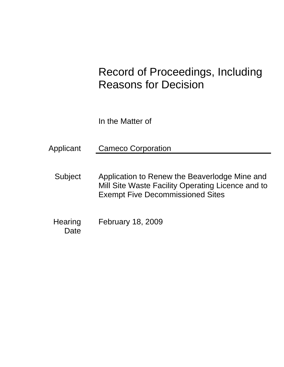# Record of Proceedings, Including Reasons for Decision

In the Matter of

Applicant Cameco Corporation

- Subject Application to Renew the Beaverlodge Mine and Mill Site Waste Facility Operating Licence and to Exempt Five Decommissioned Sites
- **Hearing Date** February 18, 2009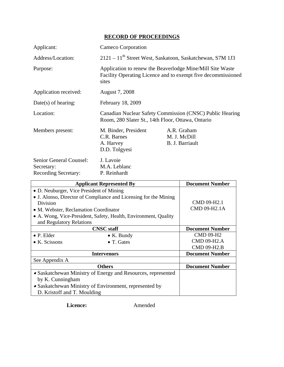## **RECORD OF PROCEEDINGS**

| Applicant:                                                           | Cameco Corporation                                                                                                                 |                                                |  |
|----------------------------------------------------------------------|------------------------------------------------------------------------------------------------------------------------------------|------------------------------------------------|--|
| Address/Location:                                                    | 2121 - 11 <sup>th</sup> Street West, Saskatoon, Saskatchewan, S7M 1J3                                                              |                                                |  |
| Purpose:                                                             | Application to renew the Beaverlodge Mine/Mill Site Waste<br>Facility Operating Licence and to exempt five decommissioned<br>sites |                                                |  |
| Application received:                                                | August 7, 2008                                                                                                                     |                                                |  |
| $Date(s)$ of hearing:                                                | February 18, 2009                                                                                                                  |                                                |  |
| Location:                                                            | Canadian Nuclear Safety Commission (CNSC) Public Hearing<br>Room, 280 Slater St., 14th Floor, Ottawa, Ontario                      |                                                |  |
| Members present:                                                     | M. Binder, President<br>C.R. Barnes<br>A. Harvey<br>D.D. Tolgyesi                                                                  | A.R. Graham<br>M. J. McDill<br>B. J. Barriault |  |
| Senior General Counsel:<br>Secretary:<br><b>Recording Secretary:</b> | J. Lavoie<br>M.A. Leblanc<br>P. Reinhardt                                                                                          |                                                |  |

| <b>Applicant Represented By</b>                                  |                    | <b>Document Number</b> |
|------------------------------------------------------------------|--------------------|------------------------|
| • D. Neuburger, Vice President of Mining                         |                    |                        |
| • J. Alonso, Director of Compliance and Licensing for the Mining |                    |                        |
| Division                                                         |                    | CMD 09-H2.1            |
| • M. Webster, Reclamation Coordinator                            |                    | CMD 09-H2.1A           |
| • A. Wong, Vice-President, Safety, Health, Environment, Quality  |                    |                        |
| and Regulatory Relations                                         |                    |                        |
|                                                                  | <b>CNSC</b> staff  | <b>Document Number</b> |
| $\bullet$ P. Elder                                               | $\bullet$ K. Bundy | <b>CMD 09-H2</b>       |
| $\bullet$ K. Scissons                                            | $\bullet$ T. Gates | <b>CMD 09-H2.A</b>     |
|                                                                  |                    | <b>CMD 09-H2.B</b>     |
| <b>Intervenors</b>                                               |                    | <b>Document Number</b> |
| See Appendix A                                                   |                    |                        |
| <b>Others</b>                                                    |                    | <b>Document Number</b> |
| • Saskatchewan Ministry of Energy and Resources, represented     |                    |                        |
| by K. Cunningham                                                 |                    |                        |
| • Saskatchewan Ministry of Environment, represented by           |                    |                        |
| D. Kristoff and T. Moulding                                      |                    |                        |

**Licence:** Amended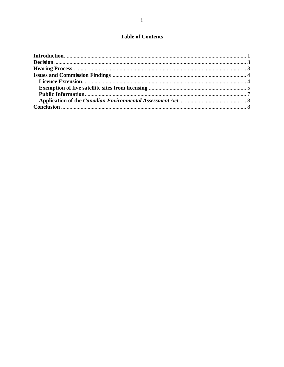## **Table of Contents**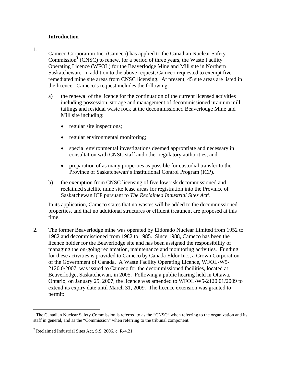#### **Introduction**

1.

Cameco Corporation Inc. (Cameco) has applied to the Canadian Nuclear Safety Commission<sup>1</sup> (CNSC) to renew, for a period of three years, the Waste Facility Operating Licence (WFOL) for the Beaverlodge Mine and Mill site in Northern Saskatchewan. In addition to the above request, Cameco requested to exempt five remediated mine site areas from CNSC licensing. At present, 45 site areas are listed in the licence. Cameco's request includes the following:

- a) the renewal of the licence for the continuation of the current licensed activities including possession, storage and management of decommissioned uranium mill tailings and residual waste rock at the decommissioned Beaverlodge Mine and Mill site including:
	- regular site inspections;
	- regular environmental monitoring;
	- special environmental investigations deemed appropriate and necessary in consultation with CNSC staff and other regulatory authorities; and
	- preparation of as many properties as possible for custodial transfer to the Province of Saskatchewan's Institutional Control Program (ICP).
- b) the exemption from CNSC licensing of five low risk decommissioned and reclaimed satellite mine site lease areas for registration into the Province of Saskatchewan ICP pursuant to *The Reclaimed Industrial Sites Act*<sup>2</sup>.

In its application, Cameco states that no wastes will be added to the decommissioned properties, and that no additional structures or effluent treatment are proposed at this time.

2. The former Beaverlodge mine was operated by Eldorado Nuclear Limited from 1952 to 1982 and decommissioned from 1982 to 1985. Since 1988, Cameco has been the licence holder for the Beaverlodge site and has been assigned the responsibility of managing the on-going reclamation, maintenance and monitoring activities. Funding for these activities is provided to Cameco by Canada Eldor Inc., a Crown Corporation of the Government of Canada. A Waste Facility Operating Licence, WFOL-W5 2120.0/2007, was issued to Cameco for the decommissioned facilities, located at Beaverlodge, Saskatchewan, in 2005. Following a public hearing held in Ottawa, Ontario, on January 25, 2007, the licence was amended to WFOL-W5-2120.01/2009 to extend its expiry date until March 31, 2009. The licence extension was granted to permit:

 $\overline{a}$ 

<sup>&</sup>lt;sup>1</sup> The Canadian Nuclear Safety Commission is referred to as the "CNSC" when referring to the organization and its staff in general, and as the "Commission" when referring to the tribunal component.

<sup>&</sup>lt;sup>2</sup> Reclaimed Industrial Sites Act, S.S. 2006, c. R-4.21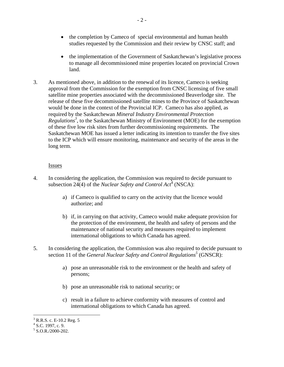- the completion by Cameco of special environmental and human health studies requested by the Commission and their review by CNSC staff; and
- the implementation of the Government of Saskatchewan's legislative process to manage all decommissioned mine properties located on provincial Crown land.
- 3. As mentioned above, in addition to the renewal of its licence, Cameco is seeking approval from the Commission for the exemption from CNSC licensing of five small satellite mine properties associated with the decommissioned Beaverlodge site. The release of these five decommissioned satellite mines to the Province of Saskatchewan would be done in the context of the Provincial ICP. Cameco has also applied, as required by the Saskatchewan *Mineral Industry Environmental Protection Regulations3* , to the Saskatchewan Ministry of Environment (MOE) for the exemption of these five low risk sites from further decommissioning requirements. The Saskatchewan MOE has issued a letter indicating its intention to transfer the five sites to the ICP which will ensure monitoring, maintenance and security of the areas in the long term.

#### **Issues**

- 4. In considering the application, the Commission was required to decide pursuant to subsection 24(4) of the *Nuclear Safety and Control Act*<sup>4</sup> (NSCA):
	- a) if Cameco is qualified to carry on the activity that the licence would authorize; and
	- b) if, in carrying on that activity, Cameco would make adequate provision for the protection of the environment, the health and safety of persons and the maintenance of national security and measures required to implement international obligations to which Canada has agreed.
- 5. In considering the application, the Commission was also required to decide pursuant to section 11 of the *General Nuclear Safety and Control Regulations*<sup>5</sup> (GNSCR):
	- a) pose an unreasonable risk to the environment or the health and safety of persons;
	- b) pose an unreasonable risk to national security; or
	- c) result in a failure to achieve conformity with measures of control and international obligations to which Canada has agreed.

 $\overline{a}$  $3$  R.R.S. c. E-10.2 Reg. 5

 $4$  S.C. 1997, c. 9.

 $5$  S.O.R./2000-202.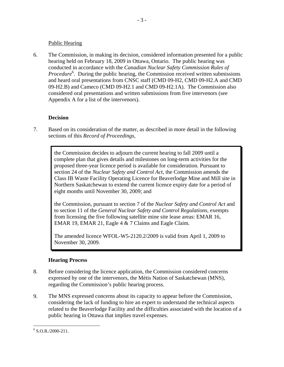#### Public Hearing

6. The Commission, in making its decision, considered information presented for a public hearing held on February 18, 2009 in Ottawa, Ontario. The public hearing was conducted in accordance with the *Canadian Nuclear Safety Commission Rules of*  Procedure<sup>6</sup>. During the public hearing, the Commission received written submissions and heard oral presentations from CNSC staff (CMD 09-H2, CMD 09-H2.A and CMD 09-H2.B) and Cameco (CMD 09-H2.1 and CMD 09-H2.1A). The Commission also considered oral presentations and written submissions from five intervenors (see Appendix A for a list of the intervenors).

### **Decision**

7. Based on its consideration of the matter, as described in more detail in the following sections of this *Record of Proceedings*,

> the Commission decides to adjourn the current hearing to fall 2009 until a complete plan that gives details and milestones on long-term activities for the proposed three-year licence period is available for consideration. Pursuant to section 24 of the *Nuclear Safety and Control Act*, the Commission amends the Class IB Waste Facility Operating Licence for Beaverlodge Mine and Mill site in Northern Saskatchewan to extend the current licence expiry date for a period of eight months until November 30, 2009; and

> the Commission, pursuant to section 7 of the *Nuclear Safety and Control Act* and to section 11 of the *General Nuclear Safety and Control Regulations,* exempts from licensing the five following satellite mine site lease areas: EMAR 16, EMAR 19, EMAR 21, Eagle 4 & 7 Claims and Eagle Claim.

The amended licence WFOL-W5-2120.2/2009 is valid from April 1, 2009 to November 30, 2009.

## **Hearing Process**

- 8. Before considering the licence application, the Commission considered concerns expressed by one of the intervenors, the Métis Nation of Saskatchewan (MNS), regarding the Commission's public hearing process.
- 9. The MNS expressed concerns about its capacity to appear before the Commission, considering the lack of funding to hire an expert to understand the technical aspects related to the Beaverlodge Facility and the difficulties associated with the location of a public hearing in Ottawa that implies travel expenses.

 $\overline{a}$  $6$  S.O.R./2000-211.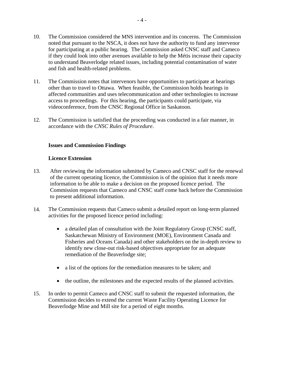- 10. The Commission considered the MNS intervention and its concerns. The Commission noted that pursuant to the NSCA, it does not have the authority to fund any intervenor for participating at a public hearing. The Commission asked CNSC staff and Cameco if they could look into other avenues available to help the Métis increase their capacity to understand Beaverlodge related issues, including potential contamination of water and fish and health-related problems.
- 11. The Commission notes that intervenors have opportunities to participate at hearings other than to travel to Ottawa. When feasible, the Commission holds hearings in affected communities and uses telecommunication and other technologies to increase access to proceedings. For this hearing, the participants could participate, via videoconference, from the CNSC Regional Office in Saskatoon.
- 12. The Commission is satisfied that the proceeding was conducted in a fair manner, in accordance with the *CNSC Rules of Procedure*.

#### **Issues and Commission Findings**

#### **Licence Extension**

- 13. After reviewing the information submitted by Cameco and CNSC staff for the renewal of the current operating licence, the Commission is of the opinion that it needs more information to be able to make a decision on the proposed licence period. The Commission requests that Cameco and CNSC staff come back before the Commission to present additional information.
- 14. The Commission requests that Cameco submit a detailed report on long-term planned activities for the proposed licence period including:
	- a detailed plan of consultation with the Joint Regulatory Group (CNSC staff, Saskatchewan Ministry of Environment (MOE), Environment Canada and Fisheries and Oceans Canada) and other stakeholders on the in-depth review to identify new close-out risk-based objectives appropriate for an adequate remediation of the Beaverlodge site;
	- a list of the options for the remediation measures to be taken; and
	- the outline, the milestones and the expected results of the planned activities.
- 15. In order to permit Cameco and CNSC staff to submit the requested information, the Commission decides to extend the current Waste Facility Operating Licence for Beaverlodge Mine and Mill site for a period of eight months.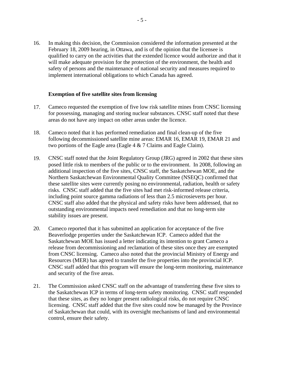16. In making this decision, the Commission considered the information presented at the February 18, 2009 hearing, in Ottawa, and is of the opinion that the licensee is qualified to carry on the activities that the extended licence would authorize and that it will make adequate provision for the protection of the environment, the health and safety of persons and the maintenance of national security and measures required to implement international obligations to which Canada has agreed.

#### **Exemption of five satellite sites from licensing**

- 17. Cameco requested the exemption of five low risk satellite mines from CNSC licensing for possessing, managing and storing nuclear substances. CNSC staff noted that these areas do not have any impact on other areas under the licence.
- 18. Cameco noted that it has performed remediation and final clean-up of the five following decommissioned satellite mine areas: EMAR 16, EMAR 19, EMAR 21 and two portions of the Eagle area (Eagle 4 & 7 Claims and Eagle Claim).
- 19. CNSC staff noted that the Joint Regulatory Group (JRG) agreed in 2002 that these sites posed little risk to members of the public or to the environment. In 2008, following an additional inspection of the five sites, CNSC staff, the Saskatchewan MOE, and the Northern Saskatchewan Environmental Quality Committee (NSEQC) confirmed that these satellite sites were currently posing no environmental, radiation, health or safety risks. CNSC staff added that the five sites had met risk-informed release criteria, including point source gamma radiations of less than 2.5 microsieverts per hour. CNSC staff also added that the physical and safety risks have been addressed, that no outstanding environmental impacts need remediation and that no long-term site stability issues are present.
- 20. Cameco reported that it has submitted an application for acceptance of the five Beaverlodge properties under the Saskatchewan ICP. Cameco added that the Saskatchewan MOE has issued a letter indicating its intention to grant Cameco a release from decommissioning and reclamation of these sites once they are exempted from CNSC licensing. Cameco also noted that the provincial Ministry of Energy and Resources (MER) has agreed to transfer the five properties into the provincial ICP. CNSC staff added that this program will ensure the long-term monitoring, maintenance and security of the five areas.
- 21. The Commission asked CNSC staff on the advantage of transferring these five sites to the Saskatchewan ICP in terms of long-term safety monitoring. CNSC staff responded that these sites, as they no longer present radiological risks, do not require CNSC licensing. CNSC staff added that the five sites could now be managed by the Province of Saskatchewan that could, with its oversight mechanisms of land and environmental control, ensure their safety.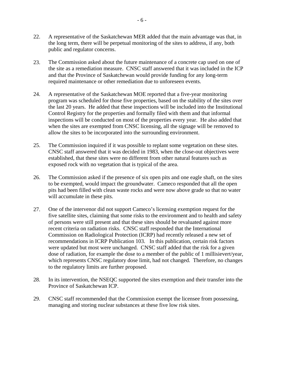- 22. A representative of the Saskatchewan MER added that the main advantage was that, in the long term, there will be perpetual monitoring of the sites to address, if any, both public and regulator concerns.
- 23. The Commission asked about the future maintenance of a concrete cap used on one of the site as a remediation measure. CNSC staff answered that it was included in the ICP and that the Province of Saskatchewan would provide funding for any long-term required maintenance or other remediation due to unforeseen events.
- 24. A representative of the Saskatchewan MOE reported that a five-year monitoring program was scheduled for those five properties, based on the stability of the sites over the last 20 years. He added that these inspections will be included into the Institutional Control Registry for the properties and formally filed with them and that informal inspections will be conducted on most of the properties every year. He also added that when the sites are exempted from CNSC licensing, all the signage will be removed to allow the sites to be incorporated into the surrounding environment.
- 25. The Commission inquired if it was possible to replant some vegetation on these sites. CNSC staff answered that it was decided in 1983, when the close-out objectives were established, that these sites were no different from other natural features such as exposed rock with no vegetation that is typical of the area.
- 26. The Commission asked if the presence of six open pits and one eagle shaft, on the sites to be exempted, would impact the groundwater. Cameco responded that all the open pits had been filled with clean waste rocks and were now above grade so that no water will accumulate in these pits.
- 27. One of the intervenor did not support Cameco's licensing exemption request for the five satellite sites, claiming that some risks to the environment and to health and safety of persons were still present and that these sites should be revaluated against more recent criteria on radiation risks. CNSC staff responded that the International Commission on Radiological Protection (ICRP) had recently released a new set of recommendations in ICRP Publication 103. In this publication, certain risk factors were updated but most were unchanged. CNSC staff added that the risk for a given dose of radiation, for example the dose to a member of the public of 1 millisievert/year, which represents CNSC regulatory dose limit, had not changed. Therefore, no changes to the regulatory limits are further proposed.
- 28. In its intervention, the NSEQC supported the sites exemption and their transfer into the Province of Saskatchewan ICP.
- 29. CNSC staff recommended that the Commission exempt the licensee from possessing, managing and storing nuclear substances at these five low risk sites.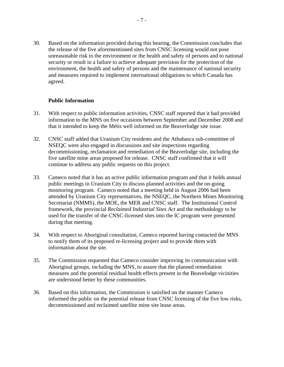30. Based on the information provided during this hearing, the Commission concludes that the release of the five aforementioned sites from CNSC licensing would not pose unreasonable risk to the environment or the health and safety of persons and to national security or result in a failure to achieve adequate provision for the protection of the environment, the health and safety of persons and the maintenance of national security and measures required to implement international obligations to which Canada has agreed.

#### **Public Information**

- 31. With respect to public information activities, CNSC staff reported that it had provided information to the MNS on five occasions between September and December 2008 and that it intended to keep the Métis well informed on the Beaverlodge site issue.
- 32. CNSC staff added that Uranium City residents and the Athabasca sub-committee of NSEQC were also engaged in discussions and site inspections regarding decommissioning, reclamation and remediation of the Beaverlodge site, including the five satellite mine areas proposed for release. CNSC staff confirmed that it will continue to address any public requests on this project.
- 33. Cameco noted that it has an active public information program and that it holds annual public meetings in Uranium City to discuss planned activities and the on-going monitoring program. Cameco noted that a meeting held in August 2006 had been attended by Uranium City representatives, the NSEQC, the Northern Mines Monitoring Secretariat (NMMS), the MOE, the MER and CNSC staff. The Institutional Control framework, the provincial *Reclaimed Industrial Sites Act* and the methodology to be used for the transfer of the CNSC-licensed sites into the IC program were presented during that meeting.
- 34. With respect to Aboriginal consultation, Cameco reported having contacted the MNS to notify them of its proposed re-licensing project and to provide them with information about the site.
- 35. The Commission requested that Cameco consider improving its communication with Aboriginal groups, including the MNS, to assure that the planned remediation measures and the potential residual health effects present in the Beavelodge vicinities are understood better by these communities.
- 36. Based on this information, the Commission is satisfied on the manner Cameco informed the public on the potential release from CNSC licensing of the five low risks, decommissioned and reclaimed satellite mine site lease areas.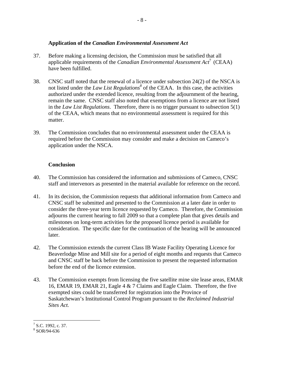#### **Application of the** *Canadian Environmental Assessment Act*

- 37. Before making a licensing decision, the Commission must be satisfied that all applicable requirements of the *Canadian Environmental Assessment Act*7 (CEAA) have been fulfilled.
- 38. CNSC staff noted that the renewal of a licence under subsection 24(2) of the NSCA is not listed under the *Law List Regulations*<sup>8</sup> of the CEAA. In this case, the activities authorized under the extended licence, resulting from the adjournment of the hearing, remain the same. CNSC staff also noted that exemptions from a licence are not listed in the *Law List Regulations*. Therefore, there is no trigger pursuant to subsection 5(1) of the CEAA, which means that no environmental assessment is required for this matter.
- 39. The Commission concludes that no environmental assessment under the CEAA is required before the Commission may consider and make a decision on Cameco's application under the NSCA.

#### **Conclusion**

- 40. The Commission has considered the information and submissions of Cameco, CNSC staff and intervenors as presented in the material available for reference on the record.
- 41. In its decision, the Commission requests that additional information from Cameco and CNSC staff be submitted and presented to the Commission at a later date in order to consider the three-year term licence requested by Cameco. Therefore, the Commission adjourns the current hearing to fall 2009 so that a complete plan that gives details and milestones on long-term activities for the proposed licence period is available for consideration. The specific date for the continuation of the hearing will be announced later.
- 42. The Commission extends the current Class IB Waste Facility Operating Licence for Beaverlodge Mine and Mill site for a period of eight months and requests that Cameco and CNSC staff be back before the Commission to present the requested information before the end of the licence extension.
- 43. The Commission exempts from licensing the five satellite mine site lease areas, EMAR 16, EMAR 19, EMAR 21, Eagle 4 & 7 Claims and Eagle Claim. Therefore, the five exempted sites could be transferred for registration into the Province of Saskatchewan's Institutional Control Program pursuant to the *Reclaimed Industrial Sites Act.*

 $\frac{1}{7}$  S.C. 1992, c. 37.

<sup>8</sup> SOR/94-636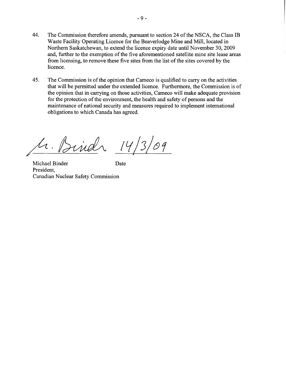- 44. The Commission therefore amends, pursuant to section 24 of the NSCA, the Class IB Waste Facility Operating Licence for the Beaverlodge Mine and Mill, located in Northern Saskatchewan, to extend the licence expiry date until November 30,2009 and, further to the exemption of the five aforementioned satellite mine site lease areas from licensing, to remove these five sites from the list of the sites covered by the licence.
- 45. The Commission is of the opinion that Cameco is qualified to carry on the activities that will be permitted under the extended licence. Furthermore, the Commission is of the opinion that in carrying on those activities, Cameco will make adequate provision for the protection of the environment, the health and safety of persons and the maintenance of national security and measures required to implement international obligations to which Canada has agreed.

ind 141  $\overline{3}$  $\sqrt{g}$ 

Michael Binder Date President, Canadian Nuclear Safety Commission